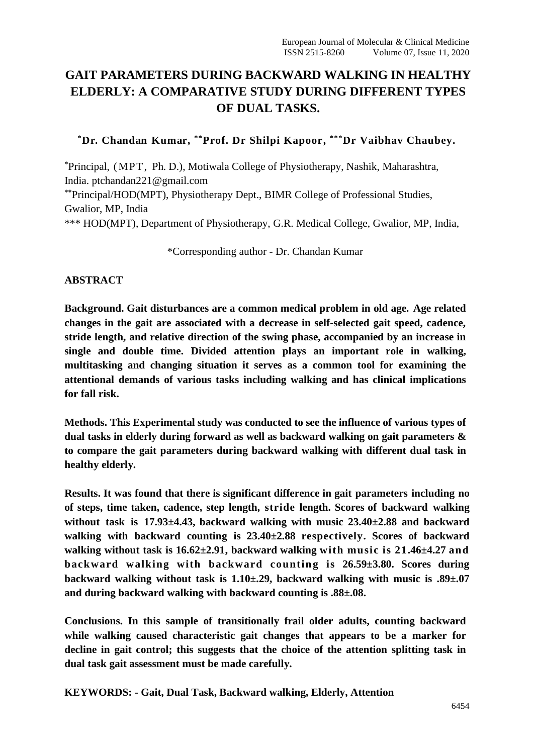# **GAIT PARAMETERS DURING BACKWARD WALKING IN HEALTHY ELDERLY: A COMPARATIVE STUDY DURING DIFFERENT TYPES OF DUAL TASKS.**

**\*Dr. Chandan Kumar, \*\*Prof. Dr Shilpi Kapoor, \*\*\*Dr Vaibhav Chaubey.**

**\***Principal, (MPT, Ph. D.), Motiwala College of Physiotherapy, Nashik, Maharashtra, India. ptchandan221@gmail.com **\*\***Principal/HOD(MPT), Physiotherapy Dept., BIMR College of Professional Studies, Gwalior, MP, India \*\*\* HOD(MPT), Department of Physiotherapy, G.R. Medical College, Gwalior, MP, India,

\*Corresponding author - Dr. Chandan Kumar

#### **ABSTRACT**

**Background. Gait disturbances are a common medical problem in old age. Age related changes in the gait are associated with a decrease in self-selected gait speed, cadence, stride length, and relative direction of the swing phase, accompanied by an increase in single and double time. Divided attention plays an important role in walking, multitasking and changing situation it serves as a common tool for examining the attentional demands of various tasks including walking and has clinical implications for fall risk.**

**Methods. This Experimental study was conducted to see the influence of various types of dual tasks in elderly during forward as well as backward walking on gait parameters & to compare the gait parameters during backward walking with different dual task in healthy elderly.**

**Results. It was found that there is significant difference in gait parameters including no of steps, time taken, cadence, step length, stride length. Scores of backward walking without task is 17.93±4.43, backward walking with music 23.40±2.88 and backward walking with backward counting is 23.40±2.88 respectively. Scores of backward walking without task is 16.62±2.91, backward walking with music is 21.46±4.27 and backward walking with backward counting is 26.59±3.80. Scores during backward walking without task is 1.10±.29, backward walking with music is .89±.07 and during backward walking with backward counting is .88±.08.**

**Conclusions. In this sample of transitionally frail older adults, counting backward while walking caused characteristic gait changes that appears to be a marker for decline in gait control; this suggests that the choice of the attention splitting task in dual task gait assessment must be made carefully.**

**KEYWORDS: - Gait, Dual Task, Backward walking, Elderly, Attention**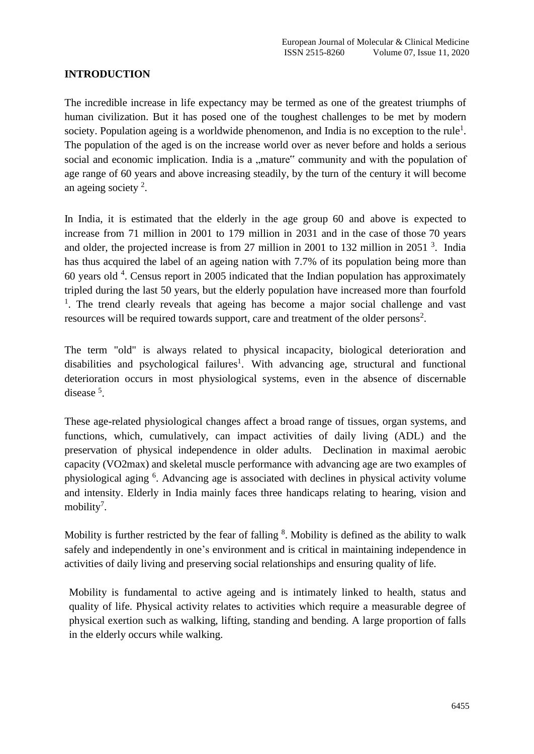## **INTRODUCTION**

The incredible increase in life expectancy may be termed as one of the greatest triumphs of human civilization. But it has posed one of the toughest challenges to be met by modern society. Population ageing is a worldwide phenomenon, and India is no exception to the rule<sup>1</sup>. The population of the aged is on the increase world over as never before and holds a serious social and economic implication. India is a "mature" community and with the population of age range of 60 years and above increasing steadily, by the turn of the century it will become an ageing society<sup>2</sup>.

In India, it is estimated that the elderly in the age group 60 and above is expected to increase from 71 million in 2001 to 179 million in 2031 and in the case of those 70 years and older, the projected increase is from 27 million in 2001 to 132 million in 2051  $3$ . India has thus acquired the label of an ageing nation with 7.7% of its population being more than 60 years old  $4$ . Census report in 2005 indicated that the Indian population has approximately tripled during the last 50 years, but the elderly population have increased more than fourfold <sup>1</sup>. The trend clearly reveals that ageing has become a major social challenge and vast resources will be required towards support, care and treatment of the older persons<sup>2</sup>.

The term "old" is always related to physical incapacity, biological deterioration and disabilities and psychological failures<sup>1</sup>. With advancing age, structural and functional deterioration occurs in most physiological systems, even in the absence of discernable disease<sup>5</sup>.

These age-related physiological changes affect a broad range of tissues, organ systems, and functions, which, cumulatively, can impact activities of daily living (ADL) and the preservation of physical independence in older adults. Declination in maximal aerobic capacity (VO2max) and skeletal muscle performance with advancing age are two examples of physiological aging <sup>6</sup>. Advancing age is associated with declines in physical activity volume and intensity. Elderly in India mainly faces three handicaps relating to hearing, vision and mobility<sup>7</sup>.

Mobility is further restricted by the fear of falling  $8$ . Mobility is defined as the ability to walk safely and independently in one's environment and is critical in maintaining independence in activities of daily living and preserving social relationships and ensuring quality of life.

Mobility is fundamental to active ageing and is intimately linked to health, status and quality of life. Physical activity relates to activities which require a measurable degree of physical exertion such as walking, lifting, standing and bending. A large proportion of falls in the elderly occurs while walking.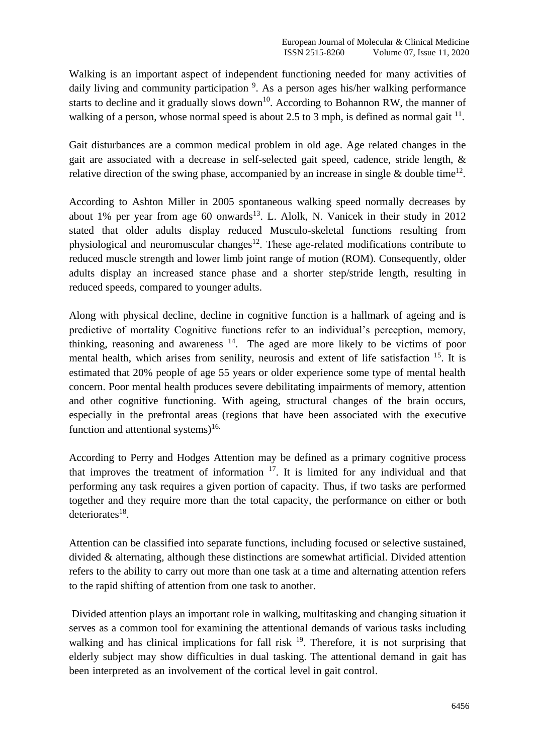Walking is an important aspect of independent functioning needed for many activities of daily living and community participation <sup>9</sup>. As a person ages his/her walking performance starts to decline and it gradually slows down<sup>10</sup>. According to Bohannon RW, the manner of walking of a person, whose normal speed is about 2.5 to 3 mph, is defined as normal gait  $^{11}$ .

Gait disturbances are a common medical problem in old age. Age related changes in the gait are associated with a decrease in self-selected gait speed, cadence, stride length, & relative direction of the swing phase, accompanied by an increase in single & double time<sup>12</sup>.

According to Ashton Miller in 2005 spontaneous walking speed normally decreases by about 1% per year from age 60 onwards<sup>13</sup>. L. Alolk, N. Vanicek in their study in 2012 stated that older adults display reduced Musculo-skeletal functions resulting from physiological and neuromuscular changes<sup>12</sup>. These age-related modifications contribute to reduced muscle strength and lower limb joint range of motion (ROM). Consequently, older adults display an increased stance phase and a shorter step/stride length, resulting in reduced speeds, compared to younger adults.

Along with physical decline, decline in cognitive function is a hallmark of ageing and is predictive of mortality Cognitive functions refer to an individual's perception, memory, thinking, reasoning and awareness  $14$ . The aged are more likely to be victims of poor mental health, which arises from senility, neurosis and extent of life satisfaction  $15$ . It is estimated that 20% people of age 55 years or older experience some type of mental health concern. Poor mental health produces severe debilitating impairments of memory, attention and other cognitive functioning. With ageing, structural changes of the brain occurs, especially in the prefrontal areas (regions that have been associated with the executive function and attentional systems)<sup>16.</sup>

According to Perry and Hodges Attention may be defined as a primary cognitive process that improves the treatment of information  $17$ . It is limited for any individual and that performing any task requires a given portion of capacity. Thus, if two tasks are performed together and they require more than the total capacity, the performance on either or both deteriorates<sup>18</sup>.

Attention can be classified into separate functions, including focused or selective sustained, divided & alternating, although these distinctions are somewhat artificial. Divided attention refers to the ability to carry out more than one task at a time and alternating attention refers to the rapid shifting of attention from one task to another.

Divided attention plays an important role in walking, multitasking and changing situation it serves as a common tool for examining the attentional demands of various tasks including walking and has clinical implications for fall risk  $19$ . Therefore, it is not surprising that elderly subject may show difficulties in dual tasking. The attentional demand in gait has been interpreted as an involvement of the cortical level in gait control.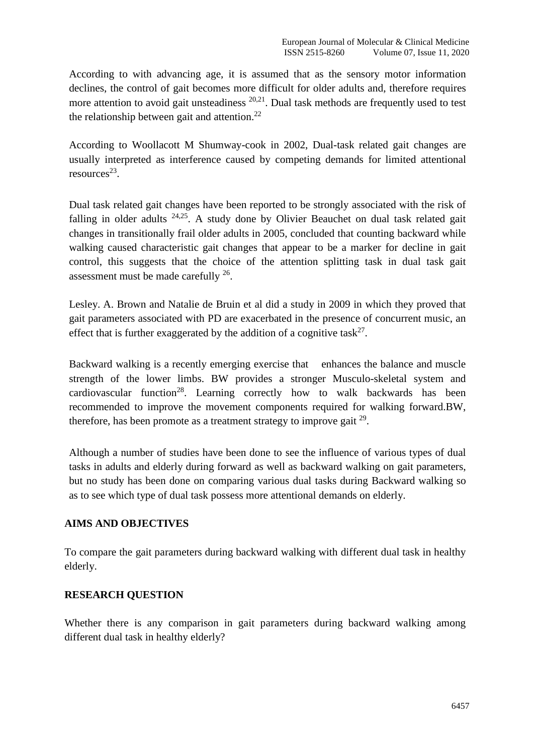According to with advancing age, it is assumed that as the sensory motor information declines, the control of gait becomes more difficult for older adults and, therefore requires more attention to avoid gait unsteadiness <sup>20,21</sup>. Dual task methods are frequently used to test the relationship between gait and attention.<sup>22</sup>

According to Woollacott M Shumway-cook in 2002, Dual-task related gait changes are usually interpreted as interference caused by competing demands for limited attentional resources 23 .

Dual task related gait changes have been reported to be strongly associated with the risk of falling in older adults <sup>24,25</sup>. A study done by Olivier Beauchet on dual task related gait changes in transitionally frail older adults in 2005, concluded that counting backward while walking caused characteristic gait changes that appear to be a marker for decline in gait control, this suggests that the choice of the attention splitting task in dual task gait assessment must be made carefully  $26$ .

Lesley. A. Brown and Natalie de Bruin et al did a study in 2009 in which they proved that gait parameters associated with PD are exacerbated in the presence of concurrent music, an effect that is further exaggerated by the addition of a cognitive task<sup>27</sup>.

Backward walking is a recently emerging exercise that enhances the balance and muscle strength of the lower limbs. BW provides a stronger Musculo-skeletal system and cardiovascular function<sup>28</sup>. Learning correctly how to walk backwards has been recommended to improve the movement components required for walking forward.BW, therefore, has been promote as a treatment strategy to improve gait  $29$ .

Although a number of studies have been done to see the influence of various types of dual tasks in adults and elderly during forward as well as backward walking on gait parameters, but no study has been done on comparing various dual tasks during Backward walking so as to see which type of dual task possess more attentional demands on elderly.

## **AIMS AND OBJECTIVES**

To compare the gait parameters during backward walking with different dual task in healthy elderly.

## **RESEARCH QUESTION**

Whether there is any comparison in gait parameters during backward walking among different dual task in healthy elderly?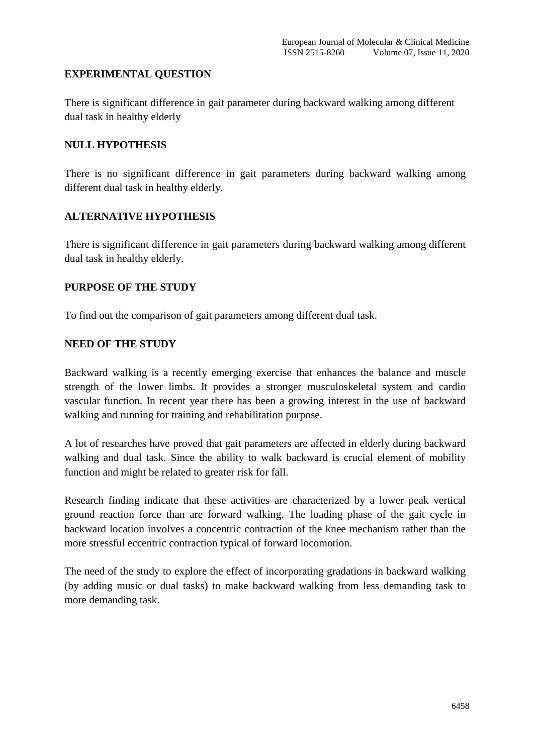### **EXPERIMENTAL QUESTION**

There is significant difference in gait parameter during backward walking among different dual task in healthy elderly

#### **NULL HYPOTHESIS**

There is no significant difference in gait parameters during backward walking among different dual task in healthy elderly.

### **ALTERNATIVE HYPOTHESIS**

There is significant difference in gait parameters during backward walking among different dual task in healthy elderly.

#### **PURPOSE OF THE STUDY**

To find out the comparison of gait parameters among different dual task.

### **NEED OF THE STUDY**

Backward walking is a recently emerging exercise that enhances the balance and muscle strength of the lower limbs. It provides a stronger musculoskeletal system and cardio vascular function. In recent year there has been a growing interest in the use of backward walking and running for training and rehabilitation purpose.

A lot of researches have proved that gait parameters are affected in elderly during backward walking and dual task. Since the ability to walk backward is crucial element of mobility function and might be related to greater risk for fall.

Research finding indicate that these activities are characterized by a lower peak vertical ground reaction force than are forward walking. The loading phase of the gait cycle in backward location involves a concentric contraction of the knee mechanism rather than the more stressful eccentric contraction typical of forward locomotion.

The need of the study to explore the effect of incorporating gradations in backward walking (by adding music or dual tasks) to make backward walking from less demanding task to more demanding task.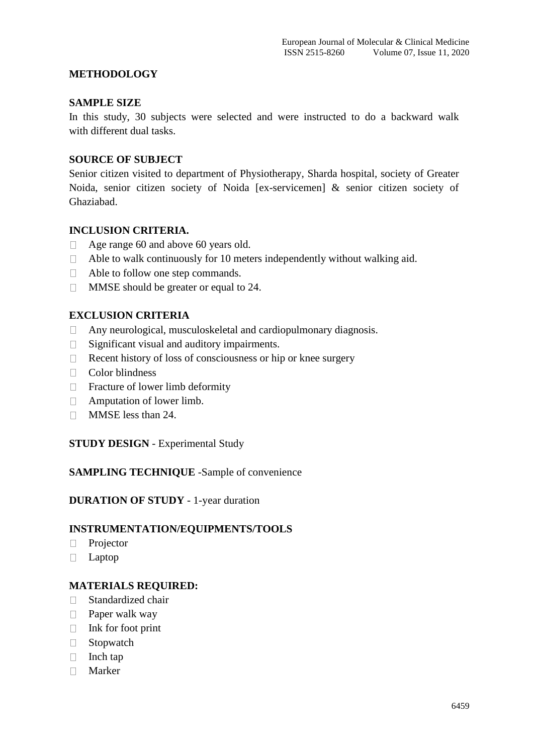#### **METHODOLOGY**

#### **SAMPLE SIZE**

In this study, 30 subjects were selected and were instructed to do a backward walk with different dual tasks.

#### **SOURCE OF SUBJECT**

Senior citizen visited to department of Physiotherapy, Sharda hospital, society of Greater Noida, senior citizen society of Noida [ex-servicemen] & senior citizen society of Ghaziabad.

#### **INCLUSION CRITERIA.**

- $\Box$  Age range 60 and above 60 years old.
- $\Box$  Able to walk continuously for 10 meters independently without walking aid.
- □ Able to follow one step commands.
- □ MMSE should be greater or equal to 24.

#### **EXCLUSION CRITERIA**

- Any neurological, musculoskeletal and cardiopulmonary diagnosis.
- $\Box$  Significant visual and auditory impairments.
- $\Box$  Recent history of loss of consciousness or hip or knee surgery
- □ Color blindness
- □ Fracture of lower limb deformity
- Amputation of lower limb.
- **MMSE** less than 24.

#### **STUDY DESIGN** - Experimental Study

#### **SAMPLING TECHNIQUE** -Sample of convenience

#### **DURATION OF STUDY** - 1-year duration

#### **INSTRUMENTATION/EQUIPMENTS/TOOLS**

- **Projector**
- Laptop

#### **MATERIALS REQUIRED:**

- □ Standardized chair
- $\Box$  Paper walk way
- $\Box$  Ink for foot print
- □ Stopwatch
- $\Box$  Inch tap
- Marker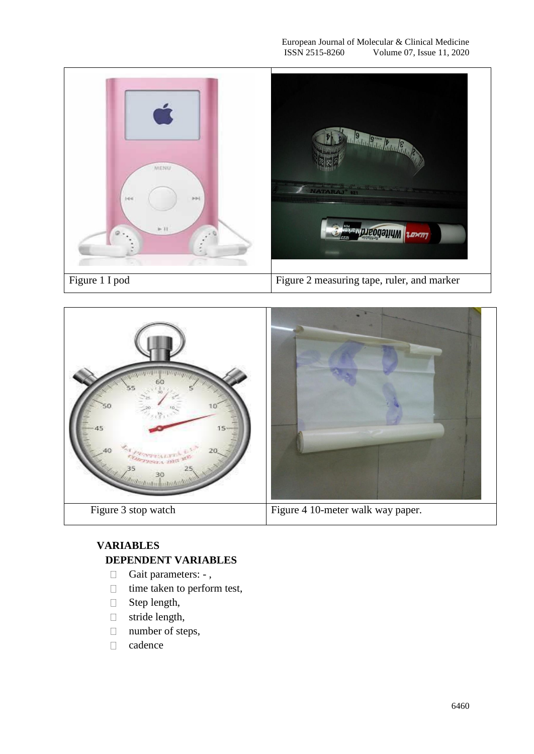



## **VARIABLES DEPENDENT VARIABLES**

- Gait parameters: -,
- $\Box$  time taken to perform test,
- □ Step length,
- stride length,
- □ number of steps,
- cadence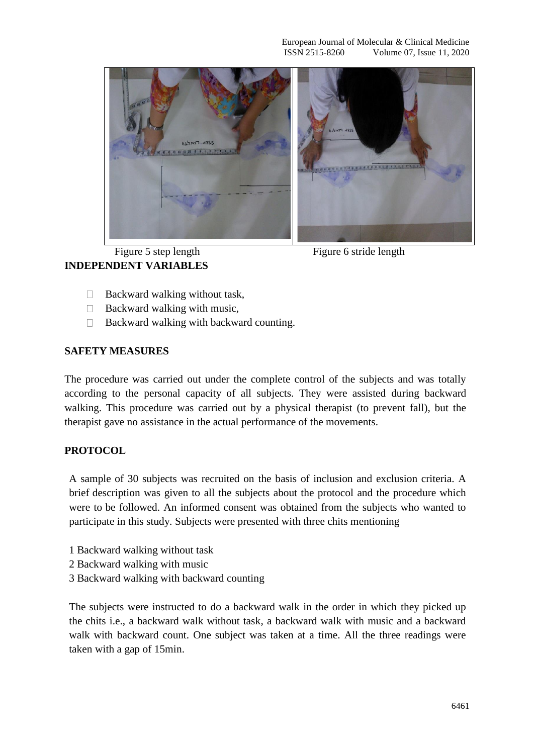





- $\Box$  Backward walking without task,
- $\Box$  Backward walking with music,
- $\Box$  Backward walking with backward counting.

#### **SAFETY MEASURES**

The procedure was carried out under the complete control of the subjects and was totally according to the personal capacity of all subjects. They were assisted during backward walking. This procedure was carried out by a physical therapist (to prevent fall), but the therapist gave no assistance in the actual performance of the movements.

#### **PROTOCOL**

A sample of 30 subjects was recruited on the basis of inclusion and exclusion criteria. A brief description was given to all the subjects about the protocol and the procedure which were to be followed. An informed consent was obtained from the subjects who wanted to participate in this study. Subjects were presented with three chits mentioning

- 1 Backward walking without task
- 2 Backward walking with music
- 3 Backward walking with backward counting

The subjects were instructed to do a backward walk in the order in which they picked up the chits i.e., a backward walk without task, a backward walk with music and a backward walk with backward count. One subject was taken at a time. All the three readings were taken with a gap of 15min.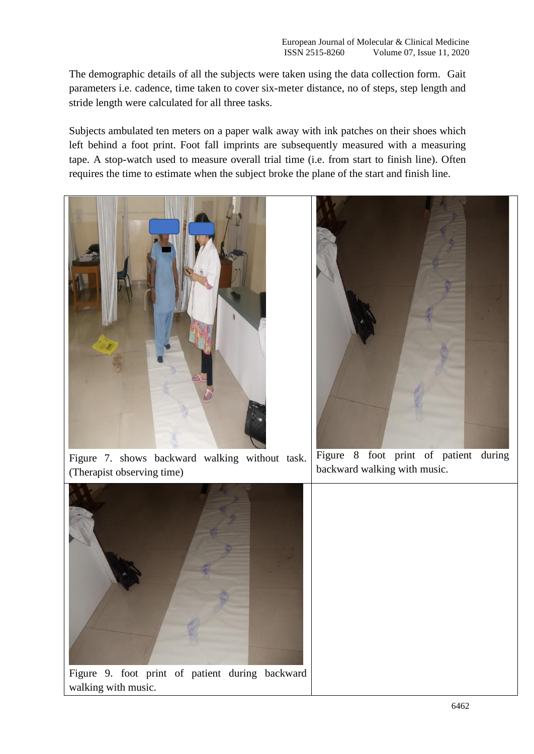The demographic details of all the subjects were taken using the data collection form. Gait parameters i.e. cadence, time taken to cover six-meter distance, no of steps, step length and stride length were calculated for all three tasks.

Subjects ambulated ten meters on a paper walk away with ink patches on their shoes which left behind a foot print. Foot fall imprints are subsequently measured with a measuring tape. A stop-watch used to measure overall trial time (i.e. from start to finish line). Often requires the time to estimate when the subject broke the plane of the start and finish line.



Figure 7. shows backward walking without task. (Therapist observing time)



Figure 8 foot print of patient during backward walking with music.



Figure 9. foot print of patient during backward walking with music.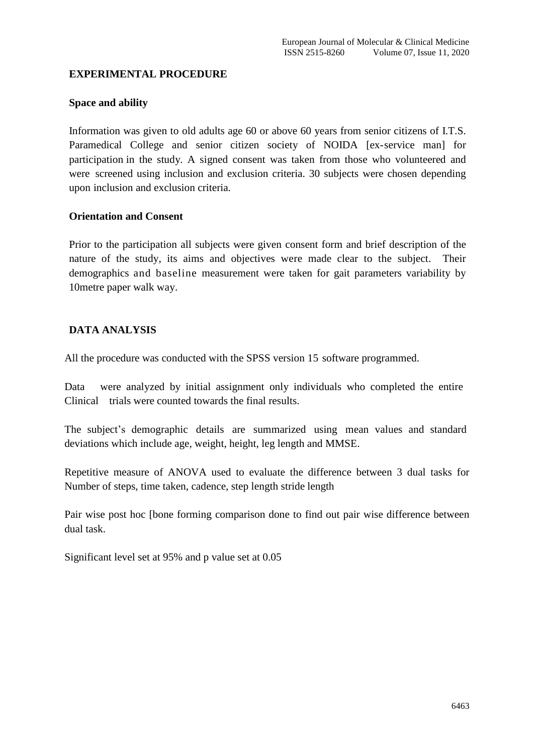#### **EXPERIMENTAL PROCEDURE**

### **Space and ability**

Information was given to old adults age 60 or above 60 years from senior citizens of I.T.S. Paramedical College and senior citizen society of NOIDA [ex-service man] for participation in the study. A signed consent was taken from those who volunteered and were screened using inclusion and exclusion criteria. 30 subjects were chosen depending upon inclusion and exclusion criteria.

### **Orientation and Consent**

Prior to the participation all subjects were given consent form and brief description of the nature of the study, its aims and objectives were made clear to the subject. Their demographics and baseline measurement were taken for gait parameters variability by 10metre paper walk way.

## **DATA ANALYSIS**

All the procedure was conducted with the SPSS version 15 software programmed.

Data were analyzed by initial assignment only individuals who completed the entire Clinical trials were counted towards the final results.

The subject's demographic details are summarized using mean values and standard deviations which include age, weight, height, leg length and MMSE.

Repetitive measure of ANOVA used to evaluate the difference between 3 dual tasks for Number of steps, time taken, cadence, step length stride length

Pair wise post hoc [bone forming comparison done to find out pair wise difference between dual task.

Significant level set at 95% and p value set at 0.05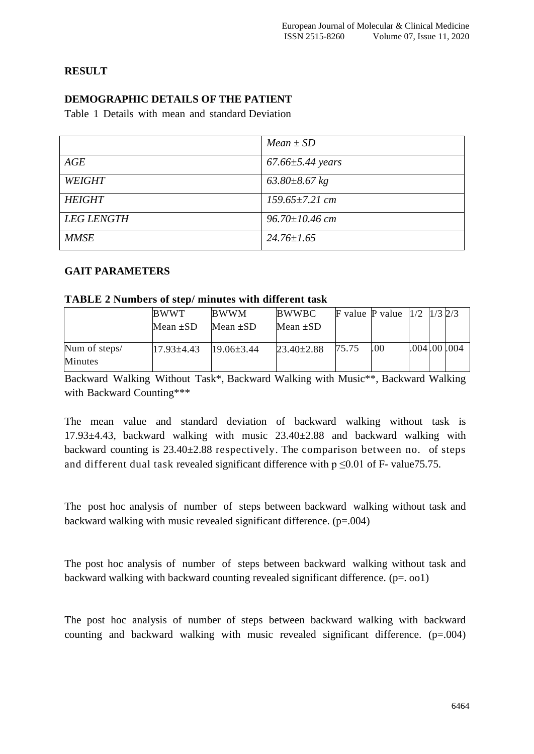## **RESULT**

## **DEMOGRAPHIC DETAILS OF THE PATIENT**

Table 1 Details with mean and standard Deviation

|                   | $Mean \pm SD$          |
|-------------------|------------------------|
| AGE               | $67.66 \pm 5.44$ years |
| <b>WEIGHT</b>     | $63.80 \pm 8.67$ kg    |
| <b>HEIGHT</b>     | $159.65 \pm 7.21$ cm   |
| <b>LEG LENGTH</b> | $96.70 \pm 10.46$ cm   |
| <b>MMSE</b>       | $24.76 \pm 1.65$       |

## **GAIT PARAMETERS**

#### **TABLE 2 Numbers of step/ minutes with different task**

|                                 | <b>BWWT</b><br>Mean $\pm SD$ | <b>BWWM</b><br>Mean $\pm SD$ | <b>BWWBC</b><br>Mean $\pm SD$ |       | <b>F</b> value <b>P</b> value $\left  \frac{1}{2} \right  \left  \frac{1}{3} \right  \left  \frac{2}{3} \right $ |             |  |
|---------------------------------|------------------------------|------------------------------|-------------------------------|-------|------------------------------------------------------------------------------------------------------------------|-------------|--|
| Num of steps/<br><b>Minutes</b> | $17.93\pm4.43$               | $19.06\pm3.44$               | $23.40 \pm 2.88$              | 75.75 | .00                                                                                                              | .004.00.004 |  |

Backward Walking Without Task\*, Backward Walking with Music\*\*, Backward Walking with Backward Counting\*\*\*

The mean value and standard deviation of backward walking without task is 17.93±4.43, backward walking with music 23.40±2.88 and backward walking with backward counting is 23.40±2.88 respectively. The comparison between no. of steps and different dual task revealed significant difference with  $p \le 0.01$  of F- value 75.75.

The post hoc analysis of number of steps between backward walking without task and backward walking with music revealed significant difference. (p=.004)

The post hoc analysis of number of steps between backward walking without task and backward walking with backward counting revealed significant difference.  $(p=.001)$ 

The post hoc analysis of number of steps between backward walking with backward counting and backward walking with music revealed significant difference.  $(p=0.004)$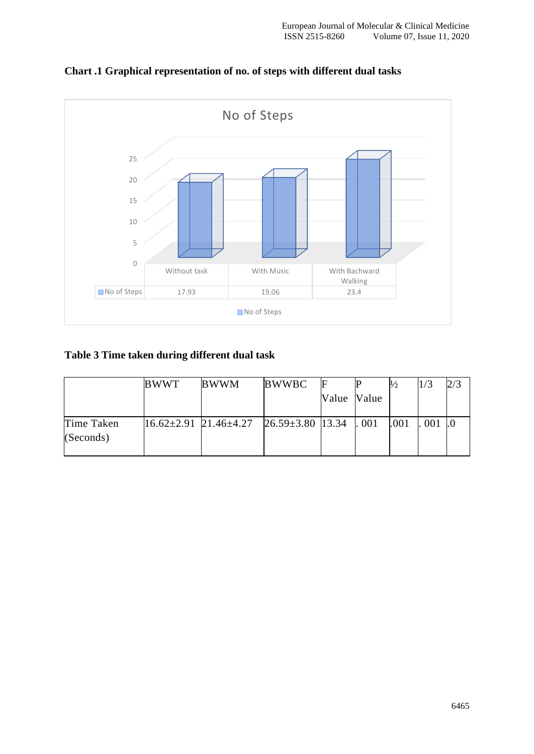

## **Chart .1 Graphical representation of no. of steps with different dual tasks**

## **Table 3 Time taken during different dual task**

|                         | <b>BWWT</b>                       | <b>BWWM</b> | <b>BWWBC</b>                 |             |      | 1/3 | 2/3 |
|-------------------------|-----------------------------------|-------------|------------------------------|-------------|------|-----|-----|
|                         |                                   |             |                              | Value Value |      |     |     |
| Time Taken<br>(Seconds) | $16.62 \pm 2.91$ 21.46 $\pm 4.27$ |             | $26.59 \pm 3.80$ 13.34   001 |             | .001 | 001 |     |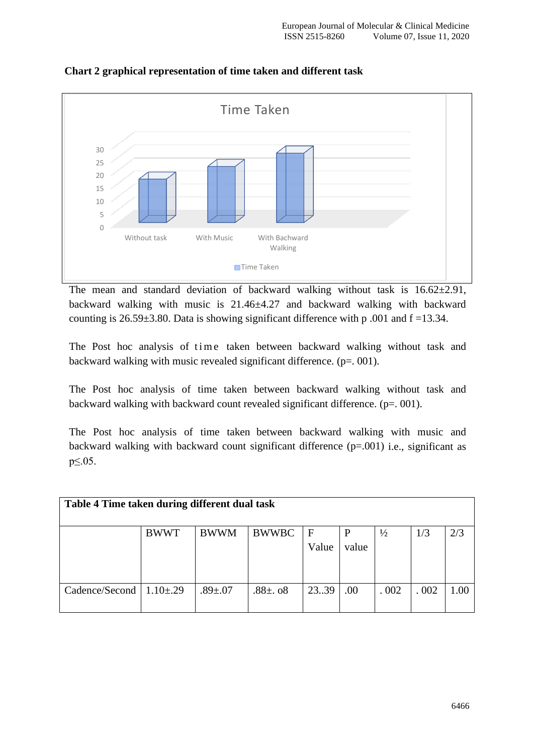

**Chart 2 graphical representation of time taken and different task**

The mean and standard deviation of backward walking without task is  $16.62 \pm 2.91$ , backward walking with music is 21.46±4.27 and backward walking with backward counting is  $26.59\pm3.80$ . Data is showing significant difference with p .001 and  $f = 13.34$ .

The Post hoc analysis of time taken between backward walking without task and backward walking with music revealed significant difference.  $(p=0.001)$ .

The Post hoc analysis of time taken between backward walking without task and backward walking with backward count revealed significant difference. (p=. 001).

The Post hoc analysis of time taken between backward walking with music and backward walking with backward count significant difference (p=.001) i.e., significant as p≤.05.

| Table 4 Time taken during different dual task |                 |               |               |       |       |               |      |      |  |  |
|-----------------------------------------------|-----------------|---------------|---------------|-------|-------|---------------|------|------|--|--|
|                                               | <b>BWWT</b>     | <b>BWWM</b>   | <b>BWWBC</b>  | F     |       | $\frac{1}{2}$ | 1/3  | 2/3  |  |  |
|                                               |                 |               |               | Value | value |               |      |      |  |  |
| Cadence/Second                                | $1.10{\pm}0.29$ | $.89{\pm}.07$ | .88 $\pm$ .08 | 23.39 | .00   | .002          | .002 | 1.00 |  |  |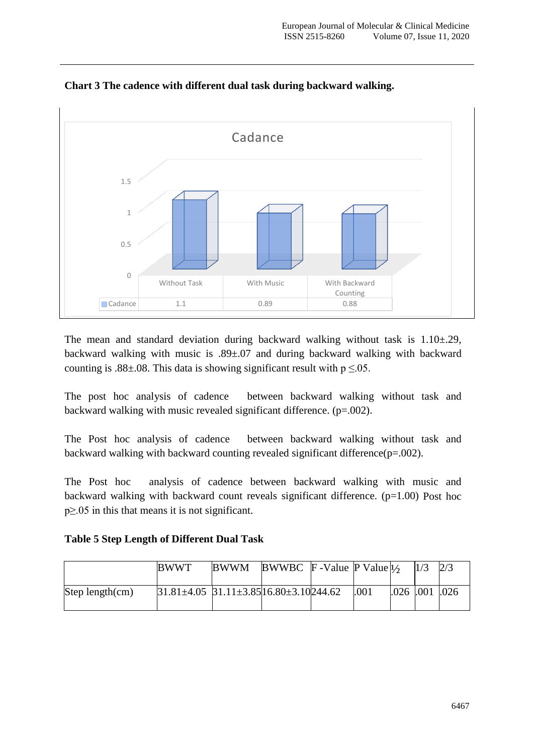

**Chart 3 The cadence with different dual task during backward walking.**

The mean and standard deviation during backward walking without task is  $1.10\pm.29$ , backward walking with music is .89±.07 and during backward walking with backward counting is .88 $\pm$ .08. This data is showing significant result with  $p \le 0.05$ .

The post hoc analysis of cadence between backward walking without task and backward walking with music revealed significant difference. (p=.002).

The Post hoc analysis of cadence between backward walking without task and backward walking with backward counting revealed significant difference(p=.002).

The Post hoc analysis of cadence between backward walking with music and backward walking with backward count reveals significant difference.  $(p=1.00)$  Post hoc p≥.05 in this that means it is not significant.

**Table 5 Step Length of Different Dual Task**

|                    | <b>BWWT</b>                                                 | <b>BWWM</b> | BWWBC $\mathbb{F}$ -Value $\mathbb{P}$ Value $\frac{1}{2}$ |      |                      | 2/3 |
|--------------------|-------------------------------------------------------------|-------------|------------------------------------------------------------|------|----------------------|-----|
| Step length $(cm)$ | $31.81 \pm 4.05$ $31.11 \pm 3.85$ $16.80 \pm 3.10$ $244.62$ |             |                                                            | .001 | $.026$ $.001$ $.026$ |     |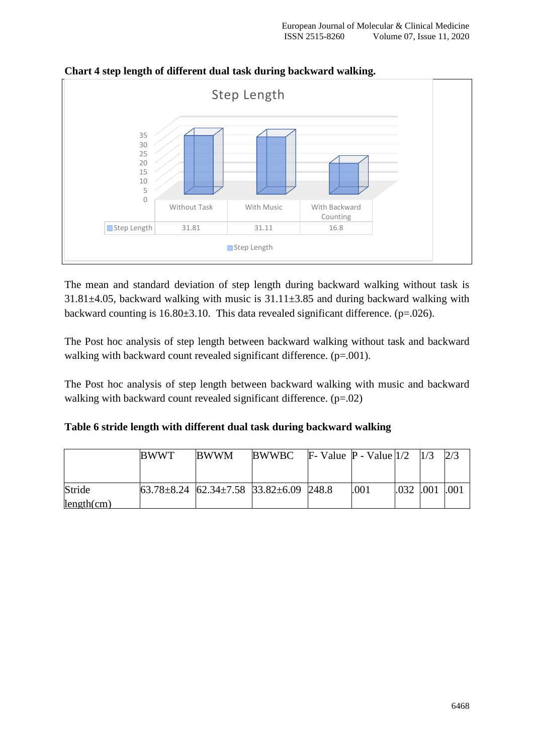

**Chart 4 step length of different dual task during backward walking.**

The mean and standard deviation of step length during backward walking without task is 31.81 $\pm$ 4.05, backward walking with music is 31.11 $\pm$ 3.85 and during backward walking with backward counting is  $16.80 \pm 3.10$ . This data revealed significant difference. (p=.026).

The Post hoc analysis of step length between backward walking without task and backward walking with backward count revealed significant difference. (p=.001).

The Post hoc analysis of step length between backward walking with music and backward walking with backward count revealed significant difference. (p=.02)

|  |  | Table 6 stride length with different dual task during backward walking |  |  |  |
|--|--|------------------------------------------------------------------------|--|--|--|
|--|--|------------------------------------------------------------------------|--|--|--|

|            | <b>BWWT</b>                                                                         | <b>BWWM</b> | <b>BWWBC</b> | <b>F</b> - Value <b>P</b> - Value $1/2$ $1/3$ |      |           | 2/3  |
|------------|-------------------------------------------------------------------------------------|-------------|--------------|-----------------------------------------------|------|-----------|------|
|            |                                                                                     |             |              |                                               |      |           |      |
| Stride     | $\left  63.78 \pm 8.24 \right  62.34 \pm 7.58 \right  33.82 \pm 6.09 \right  248.8$ |             |              |                                               | .001 | .032 .001 | .001 |
| length(cm) |                                                                                     |             |              |                                               |      |           |      |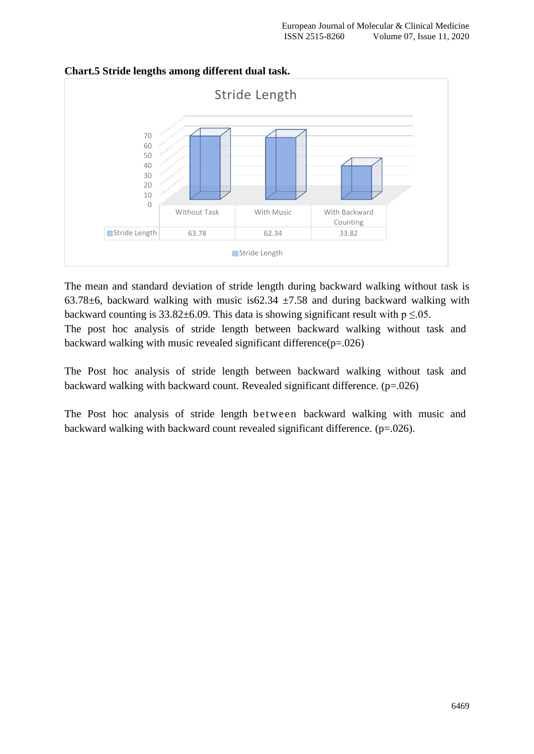

### **Chart.5 Stride lengths among different dual task.**

The mean and standard deviation of stride length during backward walking without task is 63.78 $\pm$ 6, backward walking with music is62.34  $\pm$ 7.58 and during backward walking with backward counting is  $33.82 \pm 6.09$ . This data is showing significant result with  $p \le 0.05$ . The post hoc analysis of stride length between backward walking without task and backward walking with music revealed significant difference(p=.026)

The Post hoc analysis of stride length between backward walking without task and backward walking with backward count. Revealed significant difference. (p=.026)

The Post hoc analysis of stride length between backward walking with music and backward walking with backward count revealed significant difference. (p=.026).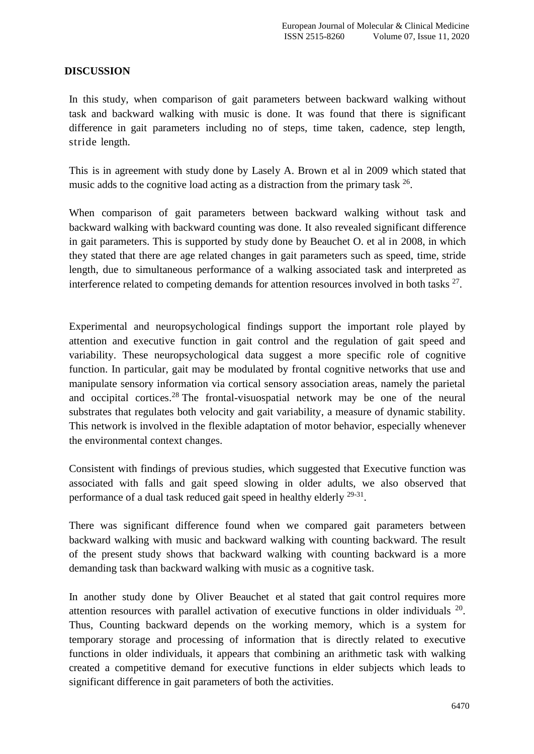### **DISCUSSION**

In this study, when comparison of gait parameters between backward walking without task and backward walking with music is done. It was found that there is significant difference in gait parameters including no of steps, time taken, cadence, step length, stride length.

This is in agreement with study done by Lasely A. Brown et al in 2009 which stated that music adds to the cognitive load acting as a distraction from the primary task  $^{26}$ .

When comparison of gait parameters between backward walking without task and backward walking with backward counting was done. It also revealed significant difference in gait parameters. This is supported by study done by Beauchet O. et al in 2008, in which they stated that there are age related changes in gait parameters such as speed, time, stride length, due to simultaneous performance of a walking associated task and interpreted as interference related to competing demands for attention resources involved in both tasks  $27$ .

Experimental and neuropsychological findings support the important role played by attention and executive function in gait control and the regulation of gait speed and variability. These neuropsychological data suggest a more specific role of cognitive function. In particular, gait may be modulated by frontal cognitive networks that use and manipulate sensory information via cortical sensory association areas, namely the parietal and occipital cortices.<sup>[28](https://www.ncbi.nlm.nih.gov/pmc/articles/PMC4119872/#R85)</sup> The frontal-visuospatial network may be one of the neural substrates that regulates both velocity and gait variability, a measure of dynamic stability. This network is involved in the flexible adaptation of motor behavior, especially whenever the environmental context changes.

Consistent with findings of previous studies, which suggested that Executive function was associated with falls and gait speed slowing in older adults, we also observed that performance of a dual task reduced gait speed in healthy elderly <sup>29-31</sup>.

There was significant difference found when we compared gait parameters between backward walking with music and backward walking with counting backward. The result of the present study shows that backward walking with counting backward is a more demanding task than backward walking with music as a cognitive task.

In another study done by Oliver Beauchet et al stated that gait control requires more attention resources with parallel activation of executive functions in older individuals  $20$ . Thus, Counting backward depends on the working memory, which is a system for temporary storage and processing of information that is directly related to executive functions in older individuals, it appears that combining an arithmetic task with walking created a competitive demand for executive functions in elder subjects which leads to significant difference in gait parameters of both the activities.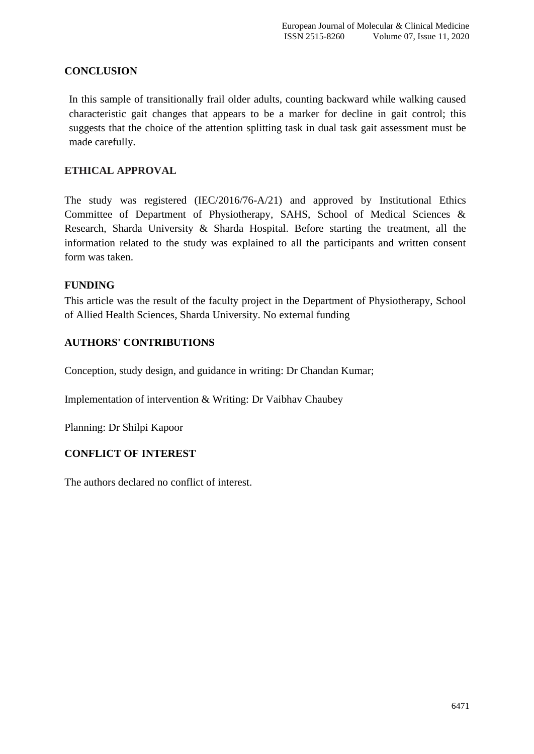## **CONCLUSION**

In this sample of transitionally frail older adults, counting backward while walking caused characteristic gait changes that appears to be a marker for decline in gait control; this suggests that the choice of the attention splitting task in dual task gait assessment must be made carefully.

## **ETHICAL APPROVAL**

The study was registered (IEC/2016/76-A/21) and approved by Institutional Ethics Committee of Department of Physiotherapy, SAHS, School of Medical Sciences & Research, Sharda University & Sharda Hospital. Before starting the treatment, all the information related to the study was explained to all the participants and written consent form was taken.

## **FUNDING**

This article was the result of the faculty project in the Department of Physiotherapy, School of Allied Health Sciences, Sharda University. No external funding

## **AUTHORS' CONTRIBUTIONS**

Conception, study design, and guidance in writing: Dr Chandan Kumar;

Implementation of intervention & Writing: Dr Vaibhav Chaubey

Planning: Dr Shilpi Kapoor

## **CONFLICT OF INTEREST**

The authors declared no conflict of interest.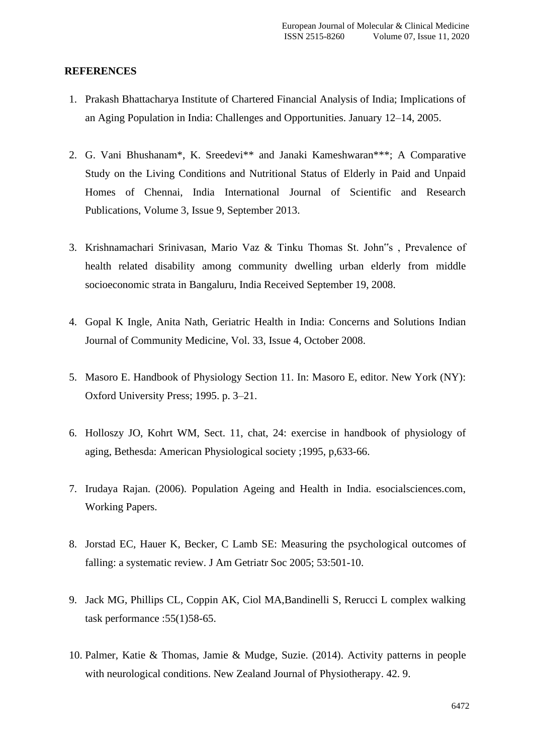### **REFERENCES**

- 1. Prakash Bhattacharya Institute of Chartered Financial Analysis of India; Implications of an Aging Population in India: Challenges and Opportunities. January 12–14, 2005.
- 2. G. Vani Bhushanam\*, K. Sreedevi\*\* and Janaki Kameshwaran\*\*\*; A Comparative Study on the Living Conditions and Nutritional Status of Elderly in Paid and Unpaid Homes of Chennai, India International Journal of Scientific and Research Publications, Volume 3, Issue 9, September 2013.
- 3. Krishnamachari Srinivasan, Mario Vaz & Tinku Thomas St. John"s , Prevalence of health related disability among community dwelling urban elderly from middle socioeconomic strata in Bangaluru, India Received September 19, 2008.
- 4. Gopal K Ingle, Anita Nath, Geriatric Health in India: Concerns and Solutions Indian Journal of Community Medicine, Vol. 33, Issue 4, October 2008.
- 5. Masoro E. Handbook of Physiology Section 11. In: Masoro E, editor. New York (NY): Oxford University Press; 1995. p. 3–21.
- 6. Holloszy JO, Kohrt WM, Sect. 11, chat, 24: exercise in handbook of physiology of aging, Bethesda: American Physiological society ;1995, p,633-66.
- 7. Irudaya Rajan. (2006). Population Ageing and Health in India. esocialsciences.com, Working Papers.
- 8. Jorstad EC, Hauer K, Becker, C Lamb SE: Measuring the psychological outcomes of falling: a systematic review. J Am Getriatr Soc 2005; 53:501-10.
- 9. Jack MG, Phillips CL, Coppin AK, Ciol MA,Bandinelli S, Rerucci L complex walking task performance :55(1)58-65.
- 10. Palmer, Katie & Thomas, Jamie & Mudge, Suzie. (2014). Activity patterns in people with neurological conditions. New Zealand Journal of Physiotherapy. 42. 9.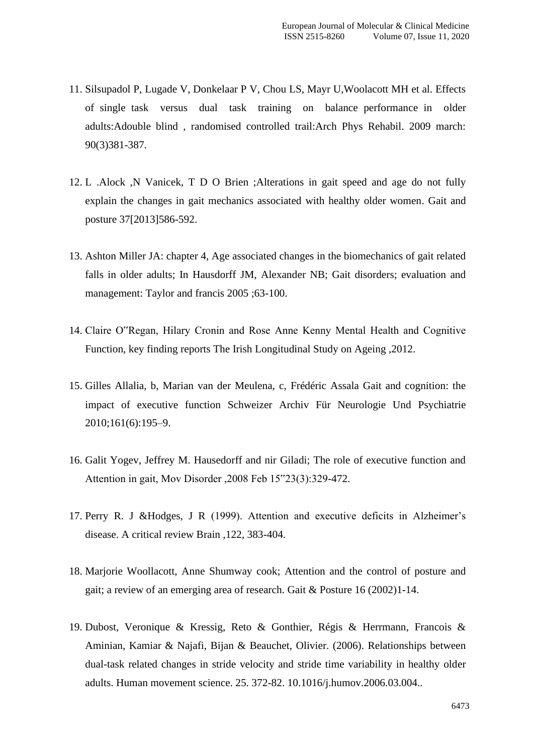- 11. Silsupadol P, Lugade V, Donkelaar P V, Chou LS, Mayr U,Woolacott MH et al. Effects of single task versus dual task training on balance performance in older adults:Adouble blind , randomised controlled trail:Arch Phys Rehabil. 2009 march: 90(3)381-387.
- 12. L .Alock ,N Vanicek, T D O Brien ;Alterations in gait speed and age do not fully explain the changes in gait mechanics associated with healthy older women. Gait and posture 37[2013]586-592.
- 13. Ashton Miller JA: chapter 4, Age associated changes in the biomechanics of gait related falls in older adults; In Hausdorff JM, Alexander NB; Gait disorders; evaluation and management: Taylor and francis 2005 ;63-100.
- 14. Claire O"Regan, Hilary Cronin and Rose Anne Kenny Mental Health and Cognitive Function, key finding reports The Irish Longitudinal Study on Ageing ,2012.
- 15. Gilles Allalia, b, Marian van der Meulena, c, Frédéric Assala Gait and cognition: the impact of executive function Schweizer Archiv Für Neurologie Und Psychiatrie 2010;161(6):195–9.
- 16. Galit Yogev, Jeffrey M. Hausedorff and nir Giladi; The role of executive function and Attention in gait, Mov Disorder ,2008 Feb 15"23(3):329-472.
- 17. Perry R. J &Hodges, J R (1999). Attention and executive deficits in Alzheimer's disease. A critical review Brain ,122, 383-404.
- 18. Marjorie Woollacott, Anne Shumway cook; Attention and the control of posture and gait; a review of an emerging area of research. Gait & Posture 16 (2002)1-14.
- 19. Dubost, Veronique & Kressig, Reto & Gonthier, Régis & Herrmann, Francois & Aminian, Kamiar & Najafi, Bijan & Beauchet, Olivier. (2006). Relationships between dual-task related changes in stride velocity and stride time variability in healthy older adults. Human movement science. 25. 372-82. 10.1016/j.humov.2006.03.004..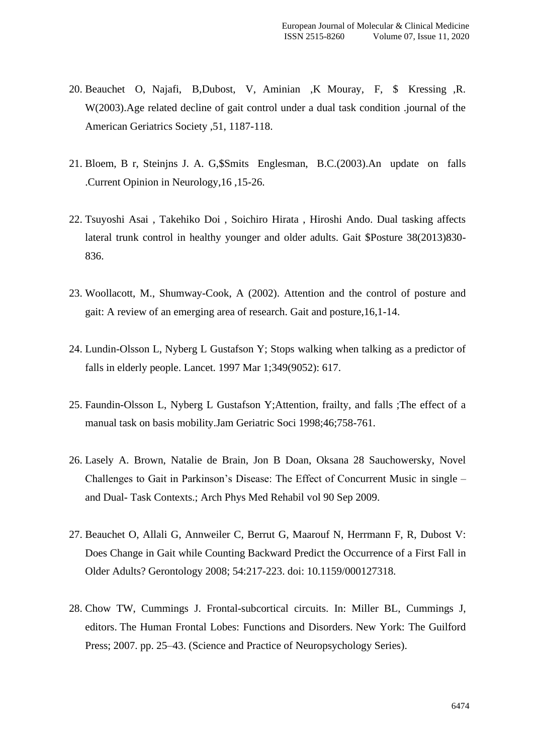- 20. Beauchet O, Najafi, B,Dubost, V, Aminian ,K Mouray, F, \$ Kressing ,R. W(2003).Age related decline of gait control under a dual task condition .journal of the American Geriatrics Society ,51, 1187-118.
- 21. Bloem, B r, Steinjns J. A. G,\$Smits Englesman, B.C.(2003).An update on falls .Current Opinion in Neurology,16 ,15-26.
- 22. Tsuyoshi Asai , Takehiko Doi , Soichiro Hirata , Hiroshi Ando. Dual tasking affects lateral trunk control in healthy younger and older adults. Gait \$Posture 38(2013)830- 836.
- 23. Woollacott, M., Shumway-Cook, A (2002). Attention and the control of posture and gait: A review of an emerging area of research. Gait and posture,16,1-14.
- 24. Lundin-Olsson L, Nyberg L Gustafson Y; Stops walking when talking as a predictor of falls in elderly people. [Lancet.](https://www.ncbi.nlm.nih.gov/pubmed/9057736) 1997 Mar 1;349(9052): 617.
- 25. Faundin-Olsson L, Nyberg L Gustafson Y;Attention, frailty, and falls ;The effect of a manual task on basis mobility.Jam Geriatric Soci 1998;46;758-761.
- 26. Lasely A. Brown, Natalie de Brain, Jon B Doan, Oksana 28 Sauchowersky, Novel Challenges to Gait in Parkinson's Disease: The Effect of Concurrent Music in single – and Dual- Task Contexts.; Arch Phys Med Rehabil vol 90 Sep 2009.
- 27. Beauchet O, Allali G, Annweiler C, Berrut G, Maarouf N, Herrmann F, R, Dubost V: Does Change in Gait while Counting Backward Predict the Occurrence of a First Fall in Older Adults? Gerontology 2008; 54:217-223. doi: 10.1159/000127318.
- 28. Chow TW, Cummings J. Frontal-subcortical circuits. In: Miller BL, Cummings J, editors. The Human Frontal Lobes: Functions and Disorders. New York: The Guilford Press; 2007. pp. 25–43. (Science and Practice of Neuropsychology Series).